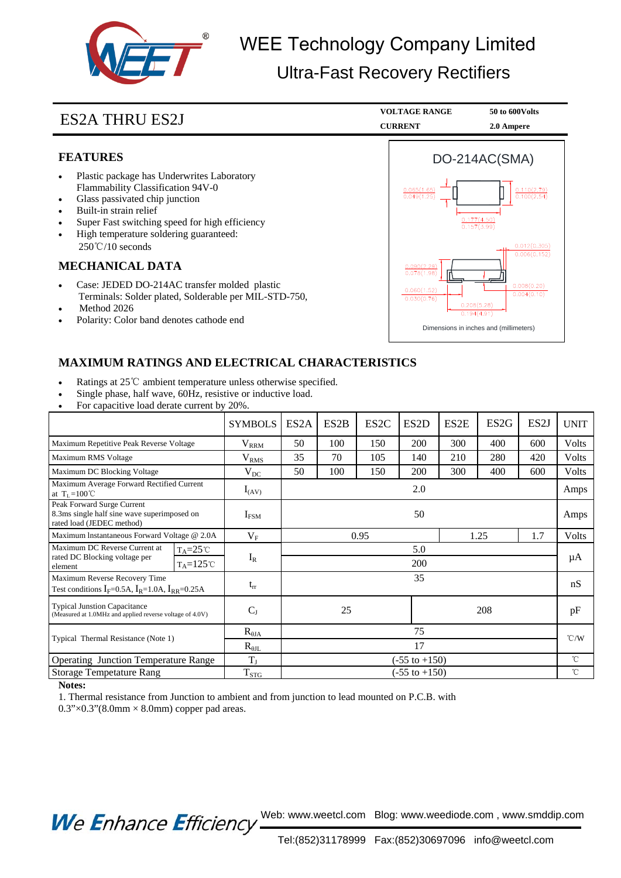

ES2A THRU ES2J **VOLTAGE RANGE 50 to 600Volts** 

2.0 Ampere

#### **FEATURES**

- Plastic package has Underwrites Laboratory Flammability Classification 94V-0
- Glass passivated chip junction
- Built-in strain relief
- Super Fast switching speed for high efficiency
- High temperature soldering guaranteed: 250℃/10 seconds

#### **MECHANICAL DATA**

- Case: JEDED DO-214AC transfer molded plastic Terminals: Solder plated, Solderable per MIL-STD-750,
- Method 2026
- Polarity: Color band denotes cathode end



### **MAXIMUM RATINGS AND ELECTRICAL CHARACTERISTICS**

- Ratings at 25℃ ambient temperature unless otherwise specified.
- Single phase, half wave, 60Hz, resistive or inductive load.
- For capacitive load derate current by 20%.

|                                                                                                        | <b>SYMBOLS</b>    | ES <sub>2</sub> A        | ES <sub>2</sub> B | ES <sub>2</sub> C | ES <sub>2</sub> D | ES2E | ES <sub>2G</sub> | ES <sub>2</sub> J | <b>UNIT</b>   |
|--------------------------------------------------------------------------------------------------------|-------------------|--------------------------|-------------------|-------------------|-------------------|------|------------------|-------------------|---------------|
| Maximum Repetitive Peak Reverse Voltage                                                                | $\rm V_{\rm RRM}$ | 50                       | 100               | 150               | 200               | 300  | 400              | 600               | Volts         |
| Maximum RMS Voltage                                                                                    | V <sub>RMS</sub>  | 35                       | 70                | 105               | 140               | 210  | 280              | 420               | Volts         |
| Maximum DC Blocking Voltage                                                                            | $V_{DC}$          | 50                       | 100               | 150               | <b>200</b>        | 300  | 400              | 600               | Volts         |
| Maximum Average Forward Rectified Current<br>at $T_L = 100^{\circ}C$                                   | $I_{(AV)}$        | 2.0                      |                   |                   |                   |      |                  |                   | Amps          |
| Peak Forward Surge Current<br>8.3ms single half sine wave superimposed on<br>rated load (JEDEC method) | $I_{FSM}$         | 50                       |                   |                   |                   |      |                  |                   | Amps          |
| Maximum Instantaneous Forward Voltage @ 2.0A                                                           | $\rm V_F$         | 0.95                     |                   |                   |                   | 1.25 |                  | 1.7               | Volts         |
| Maximum DC Reverse Current at<br>$T_A = 25^{\circ}C$                                                   |                   | 5.0                      |                   |                   |                   |      |                  |                   | μA            |
| rated DC Blocking voltage per<br>$T_A = 125$ °C<br>element                                             | $I_R$             | 200                      |                   |                   |                   |      |                  |                   |               |
| Maximum Reverse Recovery Time                                                                          |                   | 35                       |                   |                   |                   |      |                  |                   | nS            |
| Test conditions $I_F$ =0.5A, $I_R$ =1.0A, $I_{RR}$ =0.25A                                              | $t_{rr}$          |                          |                   |                   |                   |      |                  |                   |               |
| <b>Typical Junstion Capacitance</b><br>(Measured at 1.0MHz and applied reverse voltage of 4.0V)        | $C_{J}$           | 25<br>208                |                   |                   |                   |      | pF               |                   |               |
| Typical Thermal Resistance (Note 1)                                                                    | $R_{\theta JA}$   | 75                       |                   |                   |                   |      |                  |                   | $\degree$ C/W |
|                                                                                                        | $R_{\theta JL}$   | 17                       |                   |                   |                   |      |                  |                   |               |
| <b>Operating Junction Temperature Range</b>                                                            | $T_{J}$           | $(-55 \text{ to } +150)$ |                   |                   |                   |      |                  |                   | $^{\circ}$ C  |
| <b>Storage Tempetature Rang</b>                                                                        | $T_{STG}$         | $(-55 \text{ to } +150)$ |                   |                   |                   |      |                  |                   | $^{\circ}$ C  |

#### **Notes:**

1. Thermal resistance from Junction to ambient and from junction to lead mounted on P.C.B. with

 $0.3$ " $\times$  $0.3$ " $(8.0$ mm  $\times$   $8.0$ mm) copper pad areas.

We Enhance Efficiency Web: www.weetcl.com Blog: www.weediode.com, www.smddip.com